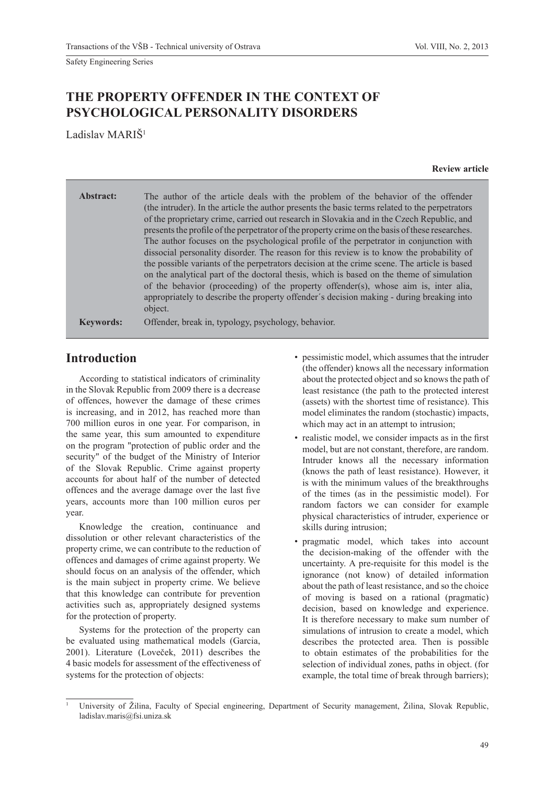# **THE PROPERTY OFFENDER IN THE CONTEXT OF PSYCHOLOGICAL PERSONALITY DISORDERS**

Ladislav MARIŠ<sup>1</sup>

#### **Review article**

**Abstract:** The author of the article deals with the problem of the behavior of the offender (the intruder). In the article the author presents the basic terms related to the perpetrators of the proprietary crime, carried out research in Slovakia and in the Czech Republic, and presents the profile of the perpetrator of the property crime on the basis of these researches. The author focuses on the psychological profile of the perpetrator in conjunction with dissocial personality disorder. The reason for this review is to know the probability of the possible variants of the perpetrators decision at the crime scene. The article is based on the analytical part of the doctoral thesis, which is based on the theme of simulation of the behavior (proceeding) of the property offender(s), whose aim is, inter alia, appropriately to describe the property offender´s decision making - during breaking into object.

**Keywords:** Offender, break in, typology, psychology, behavior.

# **Introduction**

According to statistical indicators of criminality in the Slovak Republic from 2009 there is a decrease of offences, however the damage of these crimes is increasing, and in 2012, has reached more than 700 million euros in one year. For comparison, in the same year, this sum amounted to expenditure on the program "protection of public order and the security" of the budget of the Ministry of Interior of the Slovak Republic. Crime against property accounts for about half of the number of detected offences and the average damage over the last five years, accounts more than 100 million euros per year.

Knowledge the creation, continuance and dissolution or other relevant characteristics of the property crime, we can contribute to the reduction of offences and damages of crime against property. We should focus on an analysis of the offender, which is the main subject in property crime. We believe that this knowledge can contribute for prevention activities such as, appropriately designed systems for the protection of property.

Systems for the protection of the property can be evaluated using mathematical models (Garcia, 2001). Literature (Loveček, 2011) describes the 4 basic models for assessment of the effectiveness of systems for the protection of objects:

- pessimistic model, which assumes that the intruder (the offender) knows all the necessary information about the protected object and so knows the path of least resistance (the path to the protected interest (assets) with the shortest time of resistance). This model eliminates the random (stochastic) impacts, which may act in an attempt to intrusion;
- realistic model, we consider impacts as in the first model, but are not constant, therefore, are random. Intruder knows all the necessary information (knows the path of least resistance). However, it is with the minimum values of the breakthroughs of the times (as in the pessimistic model). For random factors we can consider for example physical characteristics of intruder, experience or skills during intrusion;
- pragmatic model, which takes into account the decision-making of the offender with the uncertainty. A pre-requisite for this model is the ignorance (not know) of detailed information about the path of least resistance, and so the choice of moving is based on a rational (pragmatic) decision, based on knowledge and experience. It is therefore necessary to make sum number of simulations of intrusion to create a model, which describes the protected area. Then is possible to obtain estimates of the probabilities for the selection of individual zones, paths in object. (for example, the total time of break through barriers);

<sup>1</sup> University of Žilina, Faculty of Special engineering, Department of Security management, Žilina, Slovak Republic, ladislav.maris@fsi.uniza.sk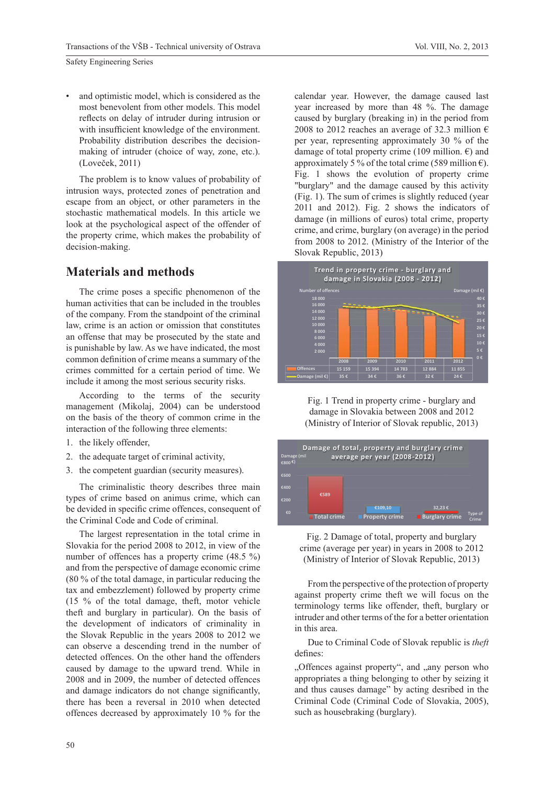and optimistic model, which is considered as the most benevolent from other models. This model reflects on delay of intruder during intrusion or with insufficient knowledge of the environment. Probability distribution describes the decisionmaking of intruder (choice of way, zone, etc.). (Loveček, 2011)

The problem is to know values of probability of intrusion ways, protected zones of penetration and escape from an object, or other parameters in the stochastic mathematical models. In this article we look at the psychological aspect of the offender of the property crime, which makes the probability of decision-making.

#### **Materials and methods**

The crime poses a specific phenomenon of the human activities that can be included in the troubles of the company. From the standpoint of the criminal law, crime is an action or omission that constitutes an offense that may be prosecuted by the state and is punishable by law. As we have indicated, the most common definition of crime means a summary of the crimes committed for a certain period of time. We include it among the most serious security risks.

According to the terms of the security management (Mikolaj, 2004) can be understood on the basis of the theory of common crime in the interaction of the following three elements:

- 1. the likely offender,
- 2. the adequate target of criminal activity,
- 3. the competent guardian (security measures).

The criminalistic theory describes three main types of crime based on animus crime, which can be devided in specific crime offences, consequent of the Criminal Code and Code of criminal.

The largest representation in the total crime in Slovakia for the period 2008 to 2012, in view of the number of offences has a property crime (48.5 %) and from the perspective of damage economic crime (80 % of the total damage, in particular reducing the tax and embezzlement) followed by property crime (15 % of the total damage, theft, motor vehicle theft and burglary in particular). On the basis of the development of indicators of criminality in the Slovak Republic in the years 2008 to 2012 we can observe a descending trend in the number of detected offences. On the other hand the offenders caused by damage to the upward trend. While in 2008 and in 2009, the number of detected offences and damage indicators do not change significantly, there has been a reversal in 2010 when detected offences decreased by approximately 10 % for the

calendar year. However, the damage caused last year increased by more than 48 %. The damage caused by burglary (breaking in) in the period from 2008 to 2012 reaches an average of 32.3 million  $\epsilon$ per year, representing approximately 30 % of the damage of total property crime (109 million.  $\epsilon$ ) and approximately 5 % of the total crime (589 million  $\epsilon$ ). Fig. 1 shows the evolution of property crime "burglary" and the damage caused by this activity (Fig. 1). The sum of crimes is slightly reduced (year 2011 and 2012). Fig. 2 shows the indicators of damage (in millions of euros) total crime, property crime, and crime, burglary (on average) in the period from 2008 to 2012. (Ministry of the Interior of the Slovak Republic, 2013)



Fig. 1 Trend in property crime - burglary and damage in Slovakia between 2008 and 2012 (Ministry of Interior of Slovak republic, 2013)



Fig. 2 Damage of total, property and burglary crime (average per year) in years in 2008 to 2012 (Ministry of Interior of Slovak Republic, 2013)

From the perspective of the protection of property against property crime theft we will focus on the terminology terms like offender, theft, burglary or intruder and other terms of the for a better orientation in this area.

Due to Criminal Code of Slovak republic is *theft* defines:

"Offences against property", and "any person who appropriates a thing belonging to other by seizing it and thus causes damage" by acting desribed in the Criminal Code (Criminal Code of Slovakia, 2005), such as housebraking (burglary).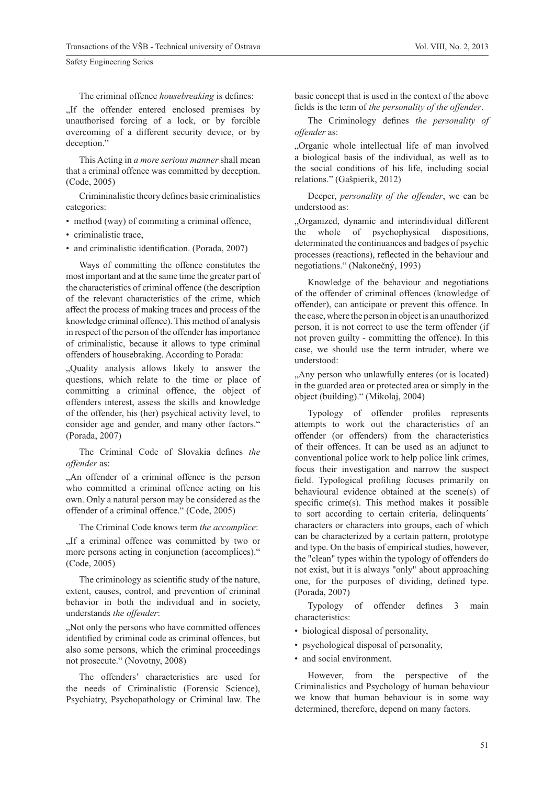The criminal offence *housebreaking* is defines:

..If the offender entered enclosed premises by unauthorised forcing of a lock, or by forcible overcoming of a different security device, or by deception."

This Acting in *a more serious manner* shall mean that a criminal offence was committed by deception. (Code, 2005)

Crimininalistic theory defines basic criminalistics categories:

- method (way) of commiting a criminal offence,
- criminalistic trace,
- and criminalistic identification. (Porada, 2007)

Ways of committing the offence constitutes the most important and at the same time the greater part of the characteristics of criminal offence (the description of the relevant characteristics of the crime, which affect the process of making traces and process of the knowledge criminal offence). This method of analysis in respect of the person of the offender has importance of criminalistic, because it allows to type criminal offenders of housebraking. According to Porada:

"Quality analysis allows likely to answer the questions, which relate to the time or place of committing a criminal offence, the object of offenders interest, assess the skills and knowledge of the offender, his (her) psychical activity level, to consider age and gender, and many other factors." (Porada, 2007)

The Criminal Code of Slovakia defines the *offender* as:

"An offender of a criminal offence is the person who committed a criminal offence acting on his own. Only a natural person may be considered as the offender of a criminal offence." (Code, 2005)

The Criminal Code knows term *the accomplice*:

"If a criminal offence was committed by two or more persons acting in conjunction (accomplices)." (Code, 2005)

The criminology as scientific study of the nature, extent, causes, control, and prevention of criminal behavior in both the individual and in society, understands *the offender*:

, Not only the persons who have committed offences identified by criminal code as criminal offences, but also some persons, which the criminal proceedings not prosecute." (Novotny, 2008)

The offenders' characteristics are used for the needs of Criminalistic (Forensic Science), Psychiatry, Psychopathology or Criminal law. The

basic concept that is used in the context of the above fields is the term of *the personality of the offender*.

The Criminology defines *the personality of offender* as:

"Organic whole intellectual life of man involved a biological basis of the individual, as well as to the social conditions of his life, including social relations." (Gašpierik, 2012)

Deeper, *personality of the offender*, we can be understood as:

"Organized, dynamic and interindividual different the whole of psychophysical dispositions, determinated the continuances and badges of psychic processes (reactions), reflected in the behaviour and negotiations." (Nakonečný, 1993)

Knowledge of the behaviour and negotiations of the offender of criminal offences (knowledge of offender), can anticipate or prevent this offence. In the case, where the person in object is an unauthorized person, it is not correct to use the term offender (if not proven guilty - committing the offence). In this case, we should use the term intruder, where we understood:

. Any person who unlawfully enteres (or is located). in the guarded area or protected area or simply in the object (building)." (Mikolaj, 2004)

Typology of offender profiles represents attempts to work out the characteristics of an offender (or offenders) from the characteristics of their offences. It can be used as an adjunct to conventional police work to help police link crimes, focus their investigation and narrow the suspect field. Typological profiling focuses primarily on behavioural evidence obtained at the scene(s) of specific crime(s). This method makes it possible to sort according to certain criteria, delinquents´ characters or characters into groups, each of which can be characterized by a certain pattern, prototype and type. On the basis of empirical studies, however, the "clean" types within the typology of offenders do not exist, but it is always "only" about approaching one, for the purposes of dividing, defined type. (Porada, 2007)

Typology of offender defines 3 main characteristics:

- biological disposal of personality,
- psychological disposal of personality,
- and social environment.

However, from the perspective of the Criminalistics and Psychology of human behaviour we know that human behaviour is in some way determined, therefore, depend on many factors.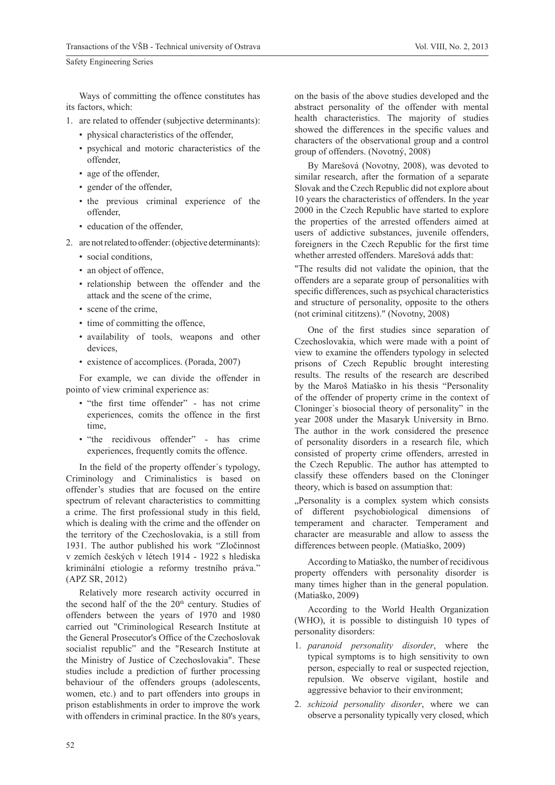Ways of committing the offence constitutes has its factors, which:

- 1. are related to offender (subjective determinants):
	- physical characteristics of the offender,
	- psychical and motoric characteristics of the offender,
	- age of the offender,
	- gender of the offender,
	- the previous criminal experience of the offender,
	- education of the offender,
- 2. are not related to offender: (objective determinants):
	- social conditions,
	- an object of offence,
	- relationship between the offender and the attack and the scene of the crime,
	- scene of the crime,
	- time of committing the offence,
	- availability of tools, weapons and other devices,
	- existence of accomplices. (Porada, 2007)

For example, we can divide the offender in pointo of view criminal experience as:

- "the first time offender" has not crime experiences, comits the offence in the first time,
- "the recidivous offender" has crime experiences, frequently comits the offence.

In the field of the property offender's typology, Criminology and Criminalistics is based on offender's studies that are focused on the entire spectrum of relevant characteristics to committing a crime. The first professional study in this field, which is dealing with the crime and the offender on the territory of the Czechoslovakia, is a still from 1931. The author published his work "Zločinnost v zemích českých v létech 1914 - 1922 s hlediska kriminální etiologie a reformy trestního práva." (APZ SR, 2012)

Relatively more research activity occurred in the second half of the the  $20<sup>th</sup>$  century. Studies of offenders between the years of 1970 and 1980 carried out "Criminological Research Institute at the General Prosecutor's Office of the Czechoslovak socialist republic" and the "Research Institute at the Ministry of Justice of Czechoslovakia". These studies include a prediction of further processing behaviour of the offenders groups (adolescents, women, etc.) and to part offenders into groups in prison establishments in order to improve the work with offenders in criminal practice. In the 80's years,

on the basis of the above studies developed and the abstract personality of the offender with mental health characteristics. The majority of studies showed the differences in the specific values and characters of the observational group and a control group of offenders. (Novotný, 2008)

By Marešová (Novotny, 2008), was devoted to similar research, after the formation of a separate Slovak and the Czech Republic did not explore about 10 years the characteristics of offenders. In the year 2000 in the Czech Republic have started to explore the properties of the arrested offenders aimed at users of addictive substances, juvenile offenders, foreigners in the Czech Republic for the first time whether arrested offenders. Marešová adds that:

"The results did not validate the opinion, that the offenders are a separate group of personalities with specific differences, such as psychical characteristics and structure of personality, opposite to the others (not criminal cititzens)." (Novotny, 2008)

One of the first studies since separation of Czechoslovakia, which were made with a point of view to examine the offenders typology in selected prisons of Czech Republic brought interesting results. The results of the research are described by the Maroš Matiaško in his thesis "Personality of the offender of property crime in the context of Cloninger´s biosocial theory of personality" in the year 2008 under the Masaryk University in Brno. The author in the work considered the presence of personality disorders in a research file, which consisted of property crime offenders, arrested in the Czech Republic. The author has attempted to classify these offenders based on the Cloninger theory, which is based on assumption that:

"Personality is a complex system which consists of different psychobiological dimensions of temperament and character. Temperament and character are measurable and allow to assess the differences between people. (Matiaško, 2009)

According to Matiaško, the number of recidivous property offenders with personality disorder is many times higher than in the general population. (Matiaško, 2009)

According to the World Health Organization (WHO), it is possible to distinguish 10 types of personality disorders:

- 1. *paranoid personality disorder*, where the typical symptoms is to high sensitivity to own person, especially to real or suspected rejection, repulsion. We observe vigilant, hostile and aggressive behavior to their environment;
- 2. *schizoid personality disorder*, where we can observe a personality typically very closed, which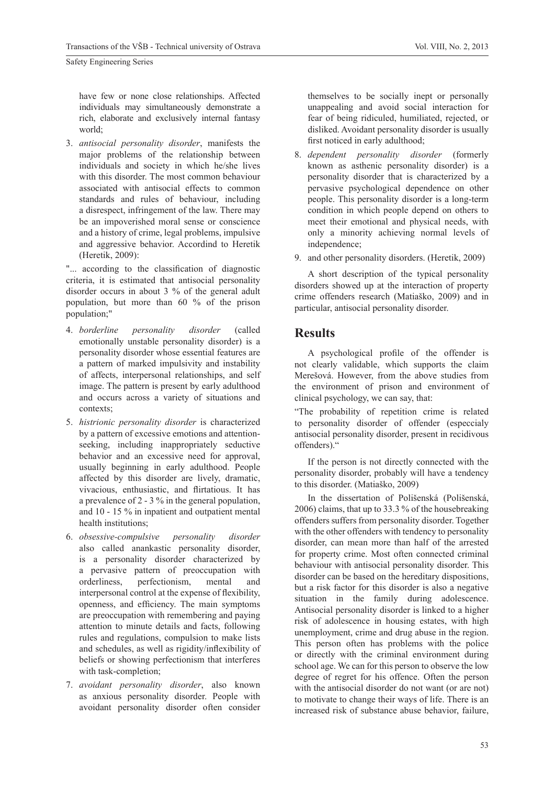have few or none close relationships. Affected individuals may simultaneously demonstrate a rich, elaborate and exclusively internal fantasy world;

3. *antisocial personality disorder*, manifests the major problems of the relationship between individuals and society in which he/she lives with this disorder. The most common behaviour associated with antisocial effects to common standards and rules of behaviour, including a disrespect, infringement of the law. There may be an impoverished moral sense or conscience and a history of crime, legal problems, impulsive and aggressive behavior. Accordind to Heretik (Heretik, 2009):

"... according to the classification of diagnostic criteria, it is estimated that antisocial personality disorder occurs in about 3 % of the general adult population, but more than 60 % of the prison population;"

- 4. *borderline personality disorder* (called emotionally unstable personality disorder) is a personality disorder whose essential features are a pattern of marked impulsivity and instability of affects, interpersonal relationships, and self image. The pattern is present by early adulthood and occurs across a variety of situations and contexts;
- 5. *histrionic personality disorder* is characterized by a pattern of excessive emotions and attentionseeking, including inappropriately seductive behavior and an excessive need for approval, usually beginning in early adulthood. People affected by this disorder are lively, dramatic, vivacious, enthusiastic, and flirtatious. It has a prevalence of 2 - 3 % in the general population, and 10 - 15 % in inpatient and outpatient mental health institutions;
- 6. *obsessive-compulsive personality disorder*  also called anankastic personality disorder, is a personality disorder characterized by a pervasive pattern of preoccupation with orderliness, perfectionism, mental and interpersonal control at the expense of flexibility, openness, and efficiency. The main symptoms are preoccupation with remembering and paying attention to minute details and facts, following rules and regulations, compulsion to make lists and schedules, as well as rigidity/inflexibility of beliefs or showing perfectionism that interferes with task-completion;
- 7. *avoidant personality disorder*, also known as anxious personality disorder. People with avoidant personality disorder often consider

themselves to be socially inept or personally unappealing and avoid social interaction for fear of being ridiculed, humiliated, rejected, or disliked. Avoidant personality disorder is usually first noticed in early adulthood;

- 8. *dependent personality disorder* (formerly known as asthenic personality disorder) is a personality disorder that is characterized by a pervasive psychological dependence on other people. This personality disorder is a long-term condition in which people depend on others to meet their emotional and physical needs, with only a minority achieving normal levels of independence;
- 9. and other personality disorders. (Heretik, 2009)

A short description of the typical personality disorders showed up at the interaction of property crime offenders research (Matiaško, 2009) and in particular, antisocial personality disorder.

# **Results**

A psychological profile of the offender is not clearly validable, which supports the claim Merešová. However, from the above studies from the environment of prison and environment of clinical psychology, we can say, that:

"The probability of repetition crime is related to personality disorder of offender (especcialy antisocial personality disorder, present in recidivous offenders)."

If the person is not directly connected with the personality disorder, probably will have a tendency to this disorder. (Matiaško, 2009)

In the dissertation of Polišenská (Polišenská, 2006) claims, that up to 33.3 % of the housebreaking offenders suffers from personality disorder. Together with the other offenders with tendency to personality disorder, can mean more than half of the arrested for property crime. Most often connected criminal behaviour with antisocial personality disorder. This disorder can be based on the hereditary dispositions, but a risk factor for this disorder is also a negative situation in the family during adolescence. Antisocial personality disorder is linked to a higher risk of adolescence in housing estates, with high unemployment, crime and drug abuse in the region. This person often has problems with the police or directly with the criminal environment during school age. We can for this person to observe the low degree of regret for his offence. Often the person with the antisocial disorder do not want (or are not) to motivate to change their ways of life. There is an increased risk of substance abuse behavior, failure,